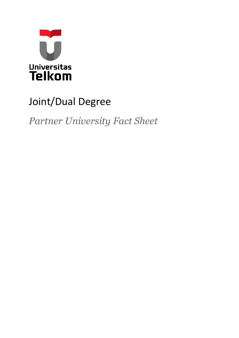

## Joint/Dual Degree

*Partner University Fact Sheet*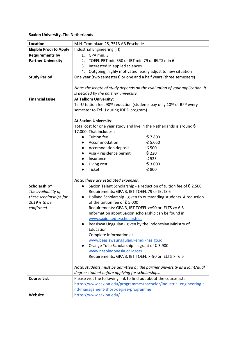| <b>Saxion University, The Netherlands</b> |                                                                                |  |
|-------------------------------------------|--------------------------------------------------------------------------------|--|
| <b>Location</b>                           | M.H. Tromplaan 28, 7513 AB Enschede                                            |  |
| <b>Eligible Prodi to Apply</b>            | Industrial Engineering (TI)                                                    |  |
| <b>Requirements by</b>                    | GPA min. 3<br>1.                                                               |  |
| <b>Partner University</b>                 | TOEFL PBT min 550 or IBT min 79 or IELTS min 6<br>2.                           |  |
|                                           | 3. Interested in applied sciences                                              |  |
|                                           | 4. Outgoing, highly motivated, easily adjust to new situation                  |  |
| <b>Study Period</b>                       | One year (two semesters) or one and a half years (three semesters)             |  |
|                                           |                                                                                |  |
|                                           | Note: the length of study depends on the evaluation of your application. It    |  |
|                                           | is decided by the partner university.                                          |  |
| <b>Financial Issue</b>                    | At Telkom University:                                                          |  |
|                                           | Tel-U tuition fee: 90% reduction (students pay only 10% of BPP every           |  |
|                                           | semester to Tel-U during JDDD program)                                         |  |
|                                           |                                                                                |  |
|                                           | <b>At Saxion University:</b>                                                   |  |
|                                           | Total cost for one year study and live in the Netherlands is around $\epsilon$ |  |
|                                           | 17,000. That includes::<br><b>Tuition fee</b><br>€ 7.800                       |  |
|                                           | $\bullet$<br>€ 5.050<br>Accommodation<br>$\bullet$                             |  |
|                                           | € 500<br>Accomodation deposit<br>$\bullet$                                     |  |
|                                           | € 220<br>Visa + residence permit                                               |  |
|                                           | € 525<br>Insurance<br>$\bullet$                                                |  |
|                                           | € 3.000<br>Living cost<br>$\bullet$                                            |  |
|                                           | € 800<br><b>Ticket</b>                                                         |  |
|                                           |                                                                                |  |
|                                           | Note: these are estimated expenses.                                            |  |
| Scholarship*                              | Saxion Talent Scholarship - a reduction of tuition fee of $\epsilon$ 2,500.    |  |
| The availability of                       | Requirements: GPA 3, IBT TOEFL 79 or IELTS 6                                   |  |
| these scholarships for                    | Holland Scholarship - given to outstanding students. A reduction<br>$\bullet$  |  |
| 2019 is to be                             | of the tuition fee of $E$ 5,000                                                |  |
| confirmed.                                | Requirements: GPA 3, IBT TOEFL >=90 or IELTS >= 6.5                            |  |
|                                           | Information about Saxion scholarship can be found in                           |  |
|                                           | www.saxion.edu/scholarships                                                    |  |
|                                           | Beasiswa Unggulan - given by the Indonesian Ministry of<br>Education           |  |
|                                           | Complete information at                                                        |  |
|                                           | www.beasiswaunggulan.kemdiknas.go.id                                           |  |
|                                           | Orange Tulip Scholarship - a grant of € 3,900 -                                |  |
|                                           | www.nesoindonesia.or.id/ots                                                    |  |
|                                           | Requirements: GPA 3, IBT TOEFL >=90 or IELTS >= 6.5                            |  |
|                                           |                                                                                |  |
|                                           | Note: students must be admitted by the partner university as a joint/dual      |  |
|                                           | degree student before applying for scholarships.                               |  |
| <b>Course List</b>                        | Please visit the following link to find out about the course list:             |  |
|                                           | https://www.saxion.edu/programmes/bachelor/industrial-engineering-a            |  |
|                                           | nd-management-short-degree-programme                                           |  |
| Website                                   | https://www.saxion.edu/                                                        |  |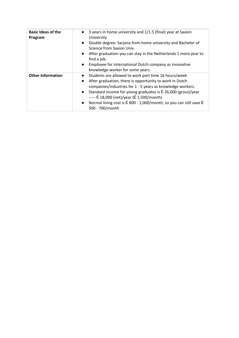| <b>Basic Ideas of the</b><br>Program | 3 years in home university and 1/1.5 (final) year at Saxion<br>$\bullet$<br>University<br>Double degree: Sarjana from home university and Bachelor of<br>$\bullet$<br>Science from Saxion Univ.<br>After graduation you can stay in the Netherlands 1 more year to<br>find a job.<br>Employee for international Dutch company as innovative<br>knowledge worker for some years.                                                                                                                                   |
|--------------------------------------|-------------------------------------------------------------------------------------------------------------------------------------------------------------------------------------------------------------------------------------------------------------------------------------------------------------------------------------------------------------------------------------------------------------------------------------------------------------------------------------------------------------------|
| <b>Other Information</b>             | Students are allowed to work part time 16 hours/week<br>$\bullet$<br>After graduation, there is opportunity to work in Dutch<br>companies/industries for 1 - 5 years as knowledge workers.<br>Standard income for young graduates is $\epsilon$ 26,000 (gross)/year<br>$\bullet$<br>----- € 18,000 (net)/year (€ 1,500/month)<br>Normal living cost is $\text{\large\ensuremath{\mathfrak{C}}}$ 800 - 1,000/month, so you can still save $\text{\large\ensuremath{\mathfrak{C}}}$<br>$\bullet$<br>500 - 700/month |